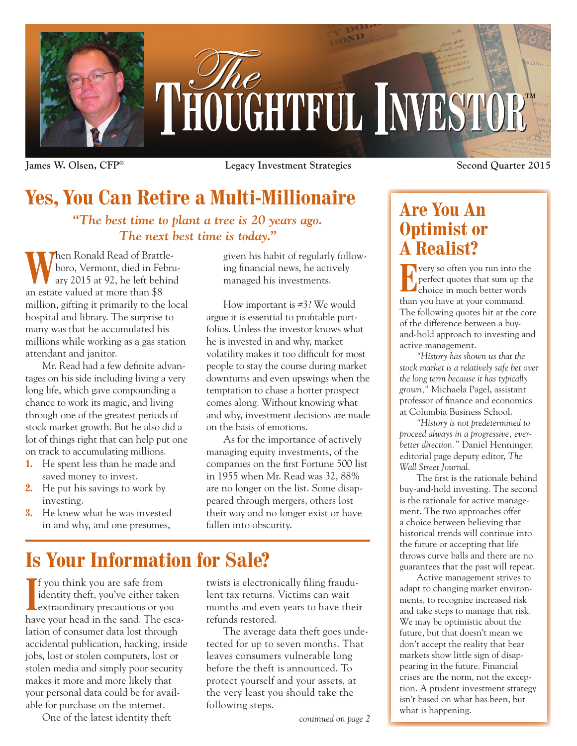

**James W. Olsen, CFP® Legacy Investment Strategies Second Quarter 2015**

## **Yes, You Can Retire a Multi-Millionaire**

*"The best time to plant a tree is 20 years ago. The next best time is today."*

When Ronald Read of Brattle-<br>
ary 2015 at 92, he left behind<br>
ary 2015 at 92, he left behind boro, Vermont, died in Februan estate valued at more than \$8 million, gifting it primarily to the local hospital and library. The surprise to many was that he accumulated his millions while working as a gas station attendant and janitor.

Mr. Read had a few definite advantages on his side including living a very long life, which gave compounding a chance to work its magic, and living through one of the greatest periods of stock market growth. But he also did a lot of things right that can help put one on track to accumulating millions.

- **1.** He spent less than he made and saved money to invest.
- **2.** He put his savings to work by investing.
- **3.** He knew what he was invested in and why, and one presumes,

given his habit of regularly following financial news, he actively managed his investments.

How important is #3? We would argue it is essential to profitable portfolios. Unless the investor knows what he is invested in and why, market volatility makes it too difficult for most people to stay the course during market downturns and even upswings when the temptation to chase a hotter prospect comes along. Without knowing what and why, investment decisions are made on the basis of emotions.

As for the importance of actively managing equity investments, of the companies on the first Fortune 500 list in 1955 when Mr. Read was 32, 88% are no longer on the list. Some disappeared through mergers, others lost their way and no longer exist or have fallen into obscurity.

# **Is Your Information for Sale?**

**I** f you think you are safe from<br>
identity theft, you've either tal<br>
extraordinary precautions or you identity theft, you've either taken extraordinary precautions or you have your head in the sand. The escalation of consumer data lost through accidental publication, hacking, inside jobs, lost or stolen computers, lost or stolen media and simply poor security makes it more and more likely that your personal data could be for available for purchase on the internet.

One of the latest identity theft

twists is electronically filing fraudulent tax returns. Victims can wait months and even years to have their refunds restored.

The average data theft goes undetected for up to seven months. That leaves consumers vulnerable long before the theft is announced. To protect yourself and your assets, at the very least you should take the following steps.

## **Are You An Optimist or A Realist?**

**Exercise Second Yeart Servery so often you run into the perfect quotes that sum up the choice in much better words** perfect quotes that sum up the choice in much better words than you have at your command. The following quotes hit at the core of the difference between a buyand-hold approach to investing and active management.

*"History has shown us that the stock market is a relatively safe bet over the long term because it has typically grown,"* Michaela Pagel, assistant professor of finance and economics at Columbia Business School.

*"History is not predetermined to proceed always in a progressive, everbetter direction."* Daniel Henninger, editorial page deputy editor, *The Wall Street Journal*.

The first is the rationale behind buy-and-hold investing. The second is the rationale for active management. The two approaches offer a choice between believing that historical trends will continue into the future or accepting that life throws curve balls and there are no guarantees that the past will repeat.

Active management strives to adapt to changing market environments, to recognize increased risk and take steps to manage that risk. We may be optimistic about the future, but that doesn't mean we don't accept the reality that bear markets show little sign of disappearing in the future. Financial crises are the norm, not the exception. A prudent investment strategy isn't based on what has been, but what is happening.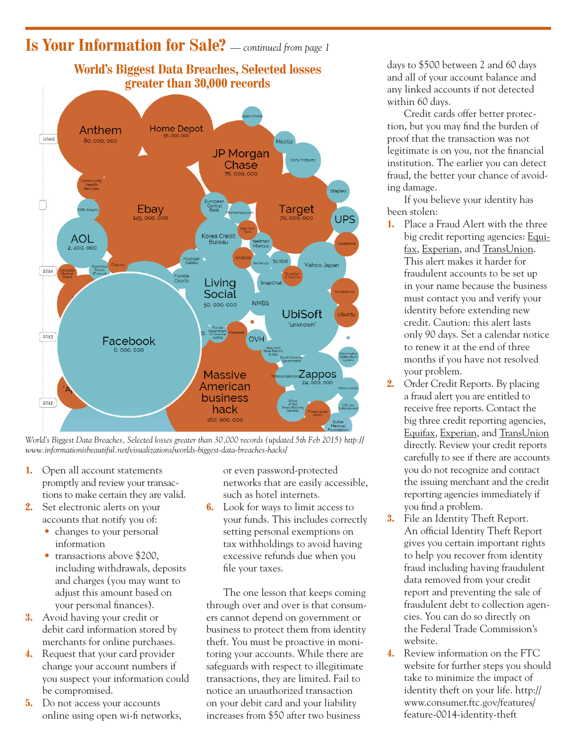#### **Is Your Information for Sale?** *— continued from page 1*



*World's Biggest Data Breaches, Selected losses greater than 30,000 records (updated 5th Feb 2015) http:// www.informationisbeautiful.net/visualizations/worlds-biggest-data-breaches-hacks/*

- **1.** Open all account statements promptly and review your transactions to make certain they are valid.
- **2.** Set electronic alerts on your accounts that notify you of:
	- changes to your personal information
	- transactions above \$200, including withdrawals, deposits and charges (you may want to adjust this amount based on your personal finances).
- **3.** Avoid having your credit or debit card information stored by merchants for online purchases.
- **4.** Request that your card provider change your account numbers if you suspect your information could be compromised.
- **5.** Do not access your accounts online using open wi-fi networks,

or even password-protected networks that are easily accessible, such as hotel internets.

**6.** Look for ways to limit access to your funds. This includes correctly setting personal exemptions on tax withholdings to avoid having excessive refunds due when you file your taxes.

The one lesson that keeps coming through over and over is that consumers cannot depend on government or business to protect them from identity theft. You must be proactive in monitoring your accounts. While there are safeguards with respect to illegitimate transactions, they are limited. Fail to notice an unauthorized transaction on your debit card and your liability increases from \$50 after two business

days to \$500 between 2 and 60 days and all of your account balance and any linked accounts if not detected within 60 days.

Credit cards offer better protection, but you may find the burden of proof that the transaction was not legitimate is on you, not the financial institution. The earlier you can detect fraud, the better your chance of avoiding damage.

If you believe your identity has been stolen:

- **1.** Place a Fraud Alert with the three big credit reporting agencies: Equifax, Experian, and TransUnion. This alert makes it harder for fraudulent accounts to be set up in your name because the business must contact you and verify your identity before extending new credit. Caution: this alert lasts only 90 days. Set a calendar notice to renew it at the end of three months if you have not resolved your problem.
- **2.** Order Credit Reports. By placing a fraud alert you are entitled to receive free reports. Contact the big three credit reporting agencies, Equifax, Experian, and TransUnion directly. Review your credit reports carefully to see if there are accounts you do not recognize and contact the issuing merchant and the credit reporting agencies immediately if you find a problem.
- **3.** File an Identity Theft Report. An official Identity Theft Report gives you certain important rights to help you recover from identity fraud including having fraudulent data removed from your credit report and preventing the sale of fraudulent debt to collection agencies. You can do so directly on the Federal Trade Commission's website.
- **4.** Review information on the FTC website for further steps you should take to minimize the impact of identity theft on your life. http:// www.consumer.ftc.gov/features/ feature-0014-identity-theft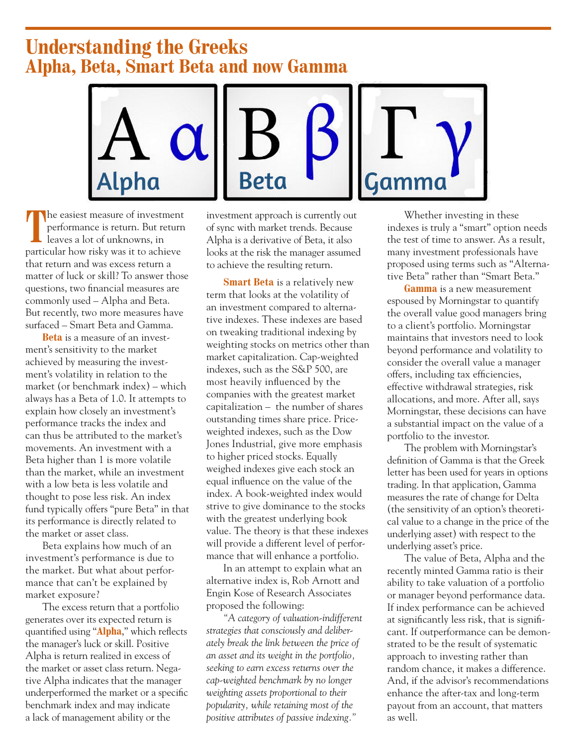### **Understanding the Greeks Alpha, Beta, Smart Beta and now Gamma**



The easiest measure of investment<br>performance is return. But return<br>leaves a lot of unknowns, in performance is return. But return leaves a lot of unknowns, in particular how risky was it to achieve that return and was excess return a matter of luck or skill? To answer those questions, two financial measures are commonly used – Alpha and Beta. But recently, two more measures have surfaced – Smart Beta and Gamma.

**Beta** is a measure of an investment's sensitivity to the market achieved by measuring the investment's volatility in relation to the market (or benchmark index) – which always has a Beta of 1.0. It attempts to explain how closely an investment's performance tracks the index and can thus be attributed to the market's movements. An investment with a Beta higher than 1 is more volatile than the market, while an investment with a low beta is less volatile and thought to pose less risk. An index fund typically offers "pure Beta" in that its performance is directly related to the market or asset class.

Beta explains how much of an investment's performance is due to the market. But what about performance that can't be explained by market exposure?

The excess return that a portfolio generates over its expected return is quantified using "**Alpha**," which reflects the manager's luck or skill. Positive Alpha is return realized in excess of the market or asset class return. Negative Alpha indicates that the manager underperformed the market or a specific benchmark index and may indicate a lack of management ability or the

investment approach is currently out of sync with market trends. Because Alpha is a derivative of Beta, it also looks at the risk the manager assumed to achieve the resulting return.

**Smart Beta** is a relatively new term that looks at the volatility of an investment compared to alternative indexes. These indexes are based on tweaking traditional indexing by weighting stocks on metrics other than market capitalization. Cap-weighted indexes, such as the S&P 500, are most heavily influenced by the companies with the greatest market capitalization – the number of shares outstanding times share price. Priceweighted indexes, such as the Dow Jones Industrial, give more emphasis to higher priced stocks. Equally weighed indexes give each stock an equal influence on the value of the index. A book-weighted index would strive to give dominance to the stocks with the greatest underlying book value. The theory is that these indexes will provide a different level of performance that will enhance a portfolio.

In an attempt to explain what an alternative index is, Rob Arnott and Engin Kose of Research Associates proposed the following:

*"A category of valuation-indifferent strategies that consciously and deliberately break the link between the price of an asset and its weight in the portfolio, seeking to earn excess returns over the cap-weighted benchmark by no longer weighting assets proportional to their popularity, while retaining most of the positive attributes of passive indexing."*

Whether investing in these indexes is truly a "smart" option needs the test of time to answer. As a result, many investment professionals have proposed using terms such as "Alternative Beta" rather than "Smart Beta."

**Gamma** is a new measurement espoused by Morningstar to quantify the overall value good managers bring to a client's portfolio. Morningstar maintains that investors need to look beyond performance and volatility to consider the overall value a manager offers, including tax efficiencies, effective withdrawal strategies, risk allocations, and more. After all, says Morningstar, these decisions can have a substantial impact on the value of a portfolio to the investor.

The problem with Morningstar's definition of Gamma is that the Greek letter has been used for years in options trading. In that application, Gamma measures the rate of change for Delta (the sensitivity of an option's theoretical value to a change in the price of the underlying asset) with respect to the underlying asset's price.

The value of Beta, Alpha and the recently minted Gamma ratio is their ability to take valuation of a portfolio or manager beyond performance data. If index performance can be achieved at significantly less risk, that is significant. If outperformance can be demonstrated to be the result of systematic approach to investing rather than random chance, it makes a difference. And, if the advisor's recommendations enhance the after-tax and long-term payout from an account, that matters as well.